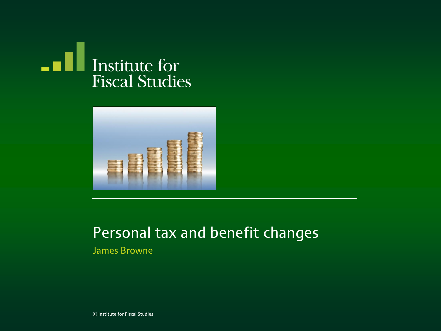



#### Personal tax and benefit changes

James Browne

© Institute for Fiscal Studies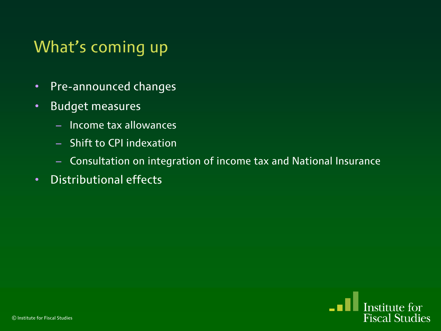## What's coming up

- Pre-announced changes
- Budget measures
	- Income tax allowances
	- Shift to CPI indexation
	- Consultation on integration of income tax and National Insurance
- Distributional effects

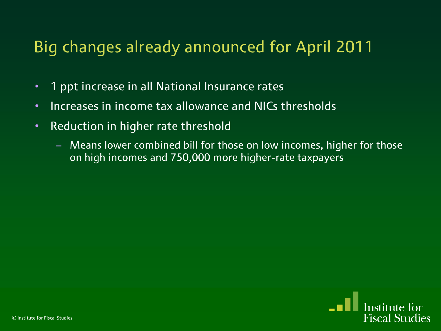## Big changes already announced for April 2011

- 1 ppt increase in all National Insurance rates
- Increases in income tax allowance and NICs thresholds
- Reduction in higher rate threshold
	- Means lower combined bill for those on low incomes, higher for those on high incomes and 750,000 more higher-rate taxpayers

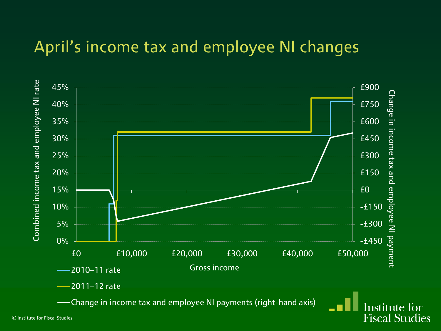### April's income tax and employee NI changes

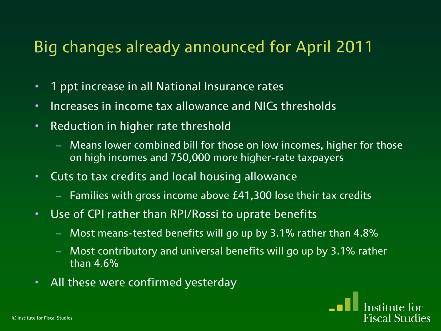### Big changes already announced for April 2011

- 1 ppt increase in all National Insurance rates
- Increases in income tax allowance and NICs thresholds
- Reduction in higher rate threshold
	- Means lower combined bill for those on low incomes, higher for those on high incomes and 750,000 more higher-rate taxpayers
- Cuts to tax credits and local housing allowance
	- Families with gross income above £41,300 lose their tax credits
- Use of CPI rather than RPI/Rossi to uprate benefits
	- Most means-tested benefits will go up by 3.1% rather than 4.8%
	- Most contributory and universal benefits will go up by 3.1% rather than 4.6%
- All these were confirmed yesterday

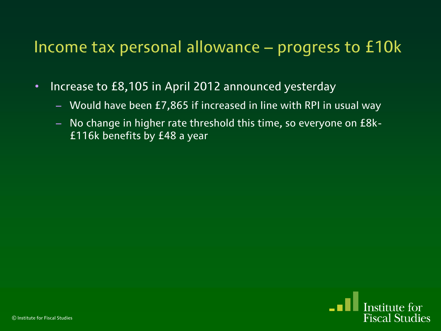### Income tax personal allowance – progress to £10k

- Increase to £8,105 in April 2012 announced yesterday
	- Would have been £7,865 if increased in line with RPI in usual way
	- No change in higher rate threshold this time, so everyone on £8k- £116k benefits by £48 a year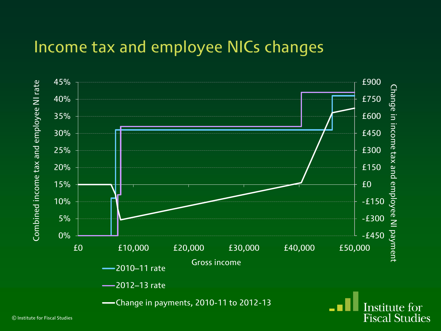#### Income tax and employee NICs changes



© Institute for Fiscal Studies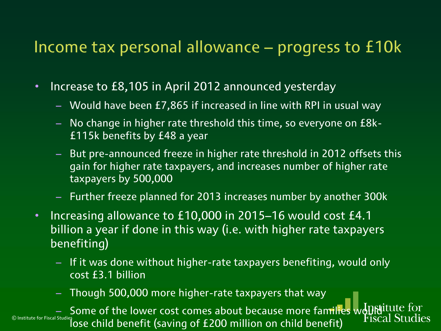#### Income tax personal allowance – progress to £10k

- Increase to £8,105 in April 2012 announced yesterday
	- Would have been £7,865 if increased in line with RPI in usual way
	- No change in higher rate threshold this time, so everyone on £8k- £115k benefits by £48 a year
	- But pre-announced freeze in higher rate threshold in 2012 offsets this gain for higher rate taxpayers, and increases number of higher rate taxpayers by 500,000
	- Further freeze planned for 2013 increases number by another 300k
- Increasing allowance to £10,000 in 2015–16 would cost £4.1 billion a year if done in this way (i.e. with higher rate taxpayers benefiting)
	- If it was done without higher-rate taxpayers benefiting, would only cost £3.1 billion
	- Though 500,000 more higher-rate taxpayers that way

– Some of the lower cost comes about because more families would lose child benefit (saving of £200 million on child benefit)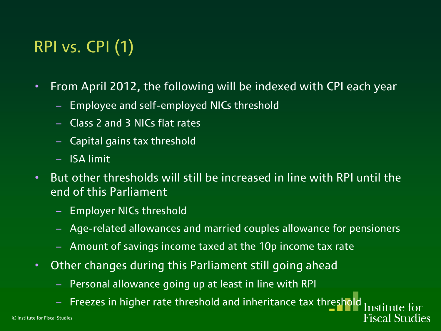# RPI vs. CPI (1)

- From April 2012, the following will be indexed with CPI each year
	- Employee and self-employed NICs threshold
	- Class 2 and 3 NICs flat rates
	- Capital gains tax threshold
	- ISA limit
- But other thresholds will still be increased in line with RPI until the end of this Parliament
	- Employer NICs threshold
	- Age-related allowances and married couples allowance for pensioners

**Fiscal Studies** 

- Amount of savings income taxed at the 10p income tax rate
- Other changes during this Parliament still going ahead
	- Personal allowance going up at least in line with RPI
	- Freezes in higher rate threshold and inheritance tax thres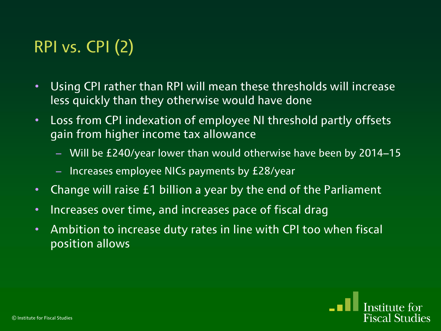# RPI vs. CPI (2)

- Using CPI rather than RPI will mean these thresholds will increase less quickly than they otherwise would have done
- Loss from CPI indexation of employee NI threshold partly offsets gain from higher income tax allowance
	- Will be £240/year lower than would otherwise have been by 2014–15
	- Increases employee NICs payments by £28/year
- Change will raise £1 billion a year by the end of the Parliament
- Increases over time, and increases pace of fiscal drag
- Ambition to increase duty rates in line with CPI too when fiscal position allows

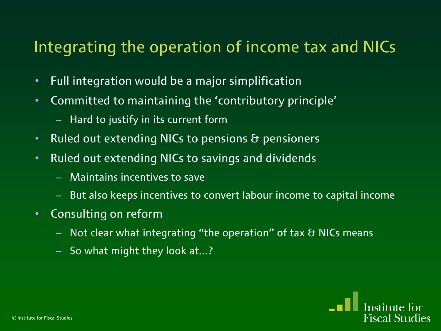### Integrating the operation of income tax and NICs

- Full integration would be a major simplification
- Committed to maintaining the 'contributory principle'
	- Hard to justify in its current form
- Ruled out extending NICs to pensions & pensioners
- Ruled out extending NICs to savings and dividends
	- Maintains incentives to save
	- But also keeps incentives to convert labour income to capital income
- Consulting on reform
	- $-$  Not clear what integrating "the operation" of tax  $\theta$  NICs means
	- So what might they look at...?

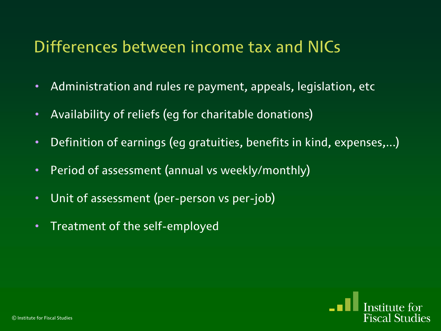### Differences between income tax and NICs

- Administration and rules re payment, appeals, legislation, etc
- Availability of reliefs (eg for charitable donations)
- Definition of earnings (eg gratuities, benefits in kind, expenses,...)
- Period of assessment (annual vs weekly/monthly)
- Unit of assessment (per-person vs per-job)
- Treatment of the self-employed

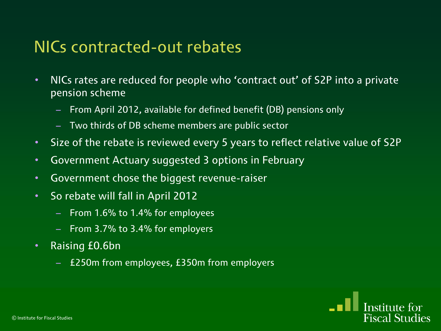### NICs contracted-out rebates

- NICs rates are reduced for people who 'contract out' of S2P into a private pension scheme
	- From April 2012, available for defined benefit (DB) pensions only
	- Two thirds of DB scheme members are public sector
- Size of the rebate is reviewed every 5 years to reflect relative value of S2P
- Government Actuary suggested 3 options in February
- Government chose the biggest revenue-raiser
- So rebate will fall in April 2012
	- From 1.6% to 1.4% for employees
	- From 3.7% to 3.4% for employers
- Raising £0.6bn
	- £250m from employees, £350m from employers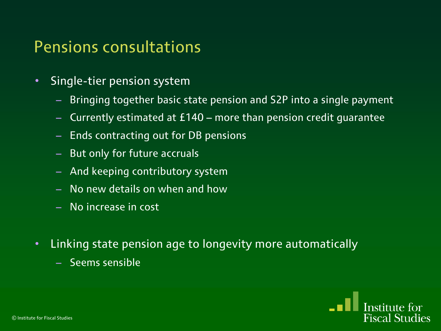#### Pensions consultations

- Single-tier pension system
	- Bringing together basic state pension and S2P into a single payment
	- Currently estimated at £140 more than pension credit guarantee
	- Ends contracting out for DB pensions
	- But only for future accruals
	- And keeping contributory system
	- No new details on when and how
	- No increase in cost
- Linking state pension age to longevity more automatically
	- Seems sensible

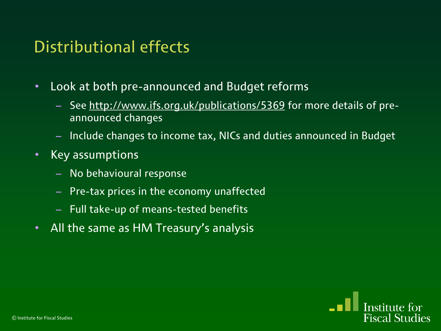### Distributional effects

- Look at both pre-announced and Budget reforms
	- See<http://www.ifs.org.uk/publications/5369> for more details of preannounced changes
	- Include changes to income tax, NICs and duties announced in Budget
- Key assumptions
	- No behavioural response
	- Pre-tax prices in the economy unaffected
	- Full take-up of means-tested benefits
- All the same as HM Treasury's analysis

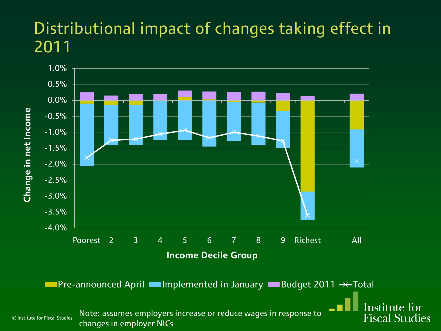### Distributional impact of changes taking effect in 2011

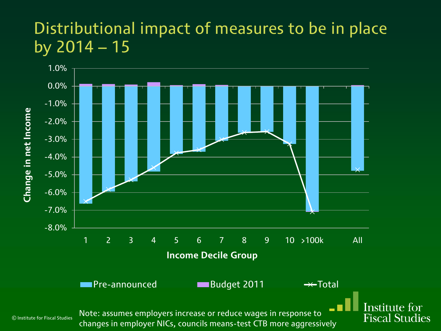### Distributional impact of measures to be in place by 2014 – 15

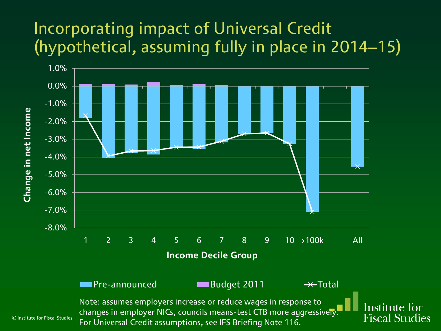## Incorporating impact of Universal Credit (hypothetical, assuming fully in place in 2014–15)



© Institute for Fiscal Studies Note: assumes employers increase or reduce wages in response to changes in employer NICs, councils means-test CTB more aggressively. For Universal Credit assumptions, see IFS Briefing Note 116.

Institute for **Fiscal Studies**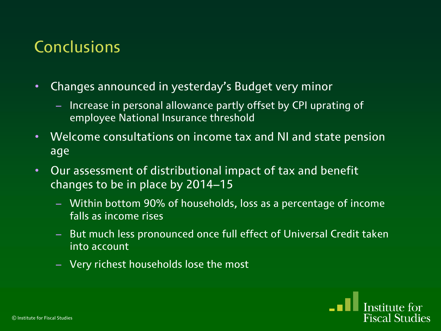### Conclusions

- Changes announced in yesterday's Budget very minor
	- Increase in personal allowance partly offset by CPI uprating of employee National Insurance threshold
- Welcome consultations on income tax and NI and state pension age
- Our assessment of distributional impact of tax and benefit changes to be in place by 2014–15
	- Within bottom 90% of households, loss as a percentage of income falls as income rises
	- But much less pronounced once full effect of Universal Credit taken into account
	- Very richest households lose the most

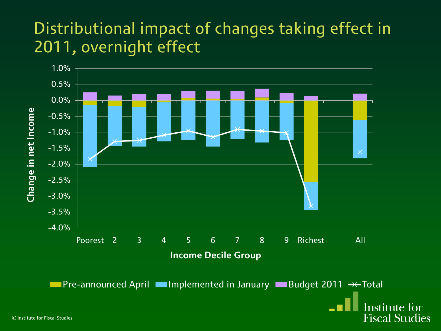### Distributional impact of changes taking effect in 2011, overnight effect

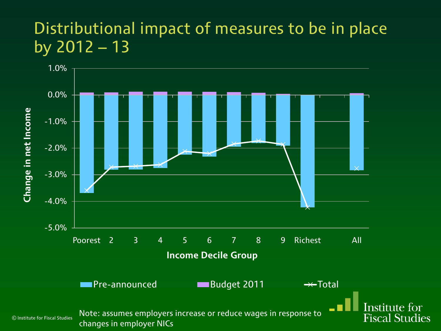### Distributional impact of measures to be in place by  $2012 - 13$

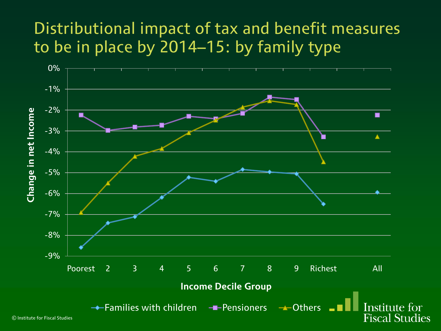### Distributional impact of tax and benefit measures to be in place by 2014–15: by family type



© Institute for Fiscal Studies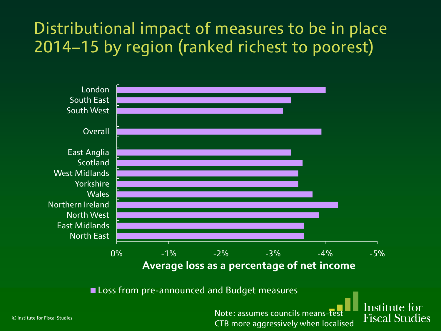## Distributional impact of measures to be in place 2014–15 by region (ranked richest to poorest)



**Loss from pre-announced and Budget measures** 

Note: assumes councils means-t CTB more aggressively when localised Institute for **Fiscal Studies**